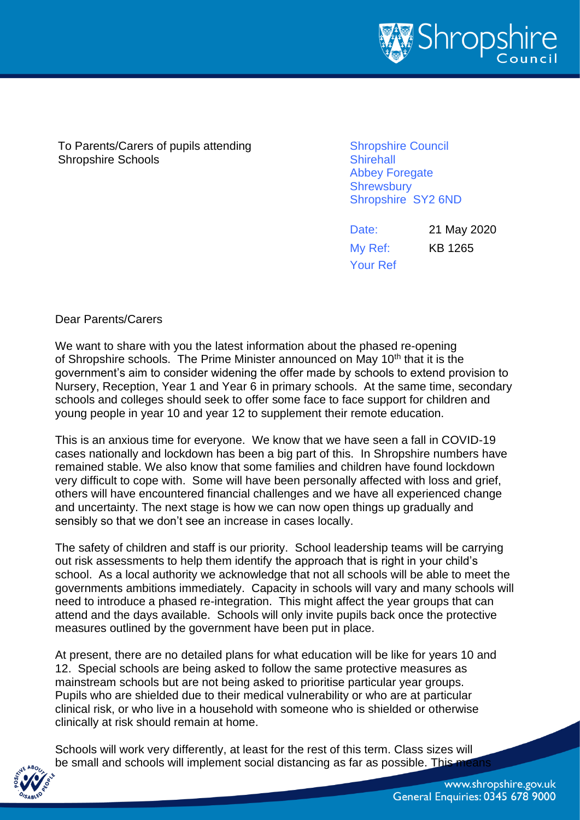

To Parents/Carers of pupils attending Shropshire Schools

Shropshire Council **Shirehall** Abbey Foregate **Shrewsbury** Shropshire SY2 6ND

Date: 21 May 2020 My Ref: KB 1265 Your Ref

Dear Parents/Carers

We want to share with you the latest information about the phased re-opening of Shropshire schools. The Prime Minister announced on May 10<sup>th</sup> that it is the government's aim to consider widening the offer made by schools to extend provision to Nursery, Reception, Year 1 and Year 6 in primary schools. At the same time, secondary schools and colleges should seek to offer some face to face support for children and young people in year 10 and year 12 to supplement their remote education.

This is an anxious time for everyone. We know that we have seen a fall in COVID-19 cases nationally and lockdown has been a big part of this. In Shropshire numbers have remained stable. We also know that some families and children have found lockdown very difficult to cope with. Some will have been personally affected with loss and grief, others will have encountered financial challenges and we have all experienced change and uncertainty. The next stage is how we can now open things up gradually and sensibly so that we don't see an increase in cases locally.

The safety of children and staff is our priority. School leadership teams will be carrying out risk assessments to help them identify the approach that is right in your child's school. As a local authority we acknowledge that not all schools will be able to meet the governments ambitions immediately. Capacity in schools will vary and many schools will need to introduce a phased re-integration. This might affect the year groups that can attend and the days available. Schools will only invite pupils back once the protective measures outlined by the government have been put in place.

At present, there are no detailed plans for what education will be like for years 10 and 12. Special schools are being asked to follow the same protective measures as mainstream schools but are not being asked to prioritise particular year groups. Pupils who are shielded due to their medical vulnerability or who are at particular clinical risk, or who live in a household with someone who is shielded or otherwise clinically at risk should remain at home.

Schools will work very differently, at least for the rest of this term. Class sizes will be small and schools will implement social distancing as far as possible. This